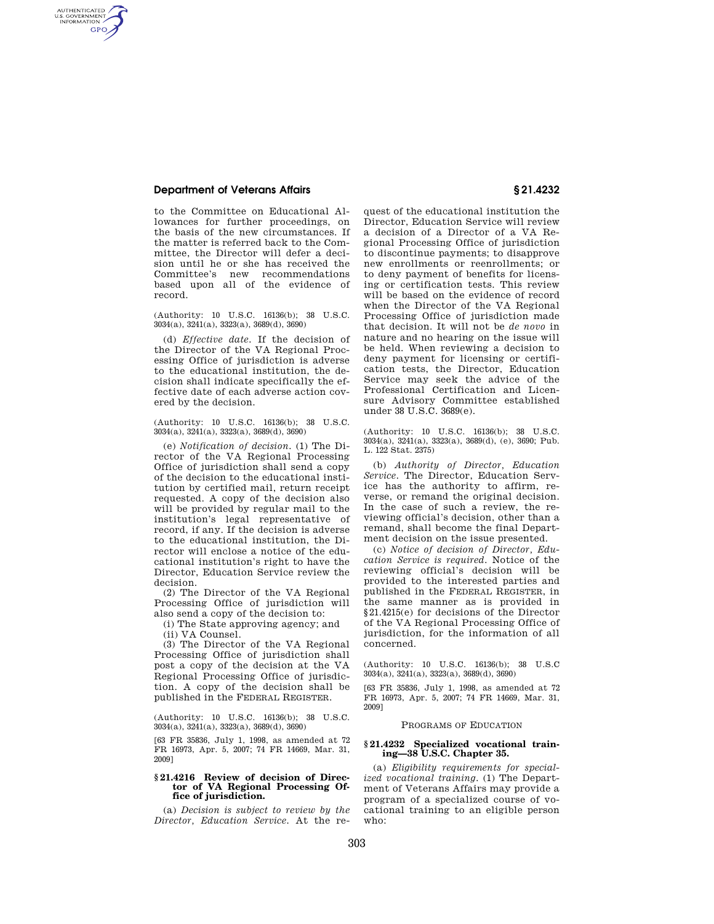# **Department of Veterans Affairs § 21.4232**

AUTHENTICATED<br>U.S. GOVERNMENT<br>INFORMATION **GPO** 

> to the Committee on Educational Allowances for further proceedings, on the basis of the new circumstances. If the matter is referred back to the Committee, the Director will defer a decision until he or she has received the Committee's new recommendations based upon all of the evidence of record.

(Authority: 10 U.S.C. 16136(b); 38 U.S.C.  $3034(a)$ ,  $3241(a)$ ,  $3323(a)$ ,  $3689(d)$ ,  $3690$ 

(d) *Effective date.* If the decision of the Director of the VA Regional Processing Office of jurisdiction is adverse to the educational institution, the decision shall indicate specifically the effective date of each adverse action covered by the decision.

(Authority: 10 U.S.C. 16136(b); 38 U.S.C. 3034(a), 3241(a), 3323(a), 3689(d), 3690)

(e) *Notification of decision.* (1) The Director of the VA Regional Processing Office of jurisdiction shall send a copy of the decision to the educational institution by certified mail, return receipt requested. A copy of the decision also will be provided by regular mail to the institution's legal representative of record, if any. If the decision is adverse to the educational institution, the Director will enclose a notice of the educational institution's right to have the Director, Education Service review the decision.

(2) The Director of the VA Regional Processing Office of jurisdiction will also send a copy of the decision to:

(i) The State approving agency; and

(ii) VA Counsel.

(3) The Director of the VA Regional Processing Office of jurisdiction shall post a copy of the decision at the VA Regional Processing Office of jurisdiction. A copy of the decision shall be published in the FEDERAL REGISTER.

(Authority: 10 U.S.C. 16136(b); 38 U.S.C. 3034(a), 3241(a), 3323(a), 3689(d), 3690)

[63 FR 35836, July 1, 1998, as amended at 72 FR 16973, Apr. 5, 2007; 74 FR 14669, Mar. 31, 2009]

### **§ 21.4216 Review of decision of Director of VA Regional Processing Office of jurisdiction.**

(a) *Decision is subject to review by the Director, Education Service.* At the re-

quest of the educational institution the Director, Education Service will review a decision of a Director of a VA Regional Processing Office of jurisdiction to discontinue payments; to disapprove new enrollments or reenrollments; or to deny payment of benefits for licensing or certification tests. This review will be based on the evidence of record when the Director of the VA Regional Processing Office of jurisdiction made that decision. It will not be *de novo* in nature and no hearing on the issue will be held. When reviewing a decision to deny payment for licensing or certification tests, the Director, Education Service may seek the advice of the Professional Certification and Licensure Advisory Committee established under 38 U.S.C. 3689(e).

(Authority: 10 U.S.C. 16136(b); 38 U.S.C. 3034(a), 3241(a), 3323(a), 3689(d), (e), 3690; Pub. L. 122 Stat. 2375)

(b) *Authority of Director, Education Service.* The Director, Education Service has the authority to affirm, reverse, or remand the original decision. In the case of such a review, the reviewing official's decision, other than a remand, shall become the final Department decision on the issue presented.

(c) *Notice of decision of Director, Education Service is required.* Notice of the reviewing official's decision will be provided to the interested parties and published in the FEDERAL REGISTER, in the same manner as is provided in §21.4215(e) for decisions of the Director of the VA Regional Processing Office of jurisdiction, for the information of all concerned.

(Authority: 10 U.S.C. 16136(b); 38 U.S.C 3034(a), 3241(a), 3323(a), 3689(d), 3690)

[63 FR 35836, July 1, 1998, as amended at 72 FR 16973, Apr. 5, 2007; 74 FR 14669, Mar. 31, 2009]

### PROGRAMS OF EDUCATION

### **§ 21.4232 Specialized vocational training—38 U.S.C. Chapter 35.**

(a) *Eligibility requirements for specialized vocational training.* (1) The Department of Veterans Affairs may provide a program of a specialized course of vocational training to an eligible person who: